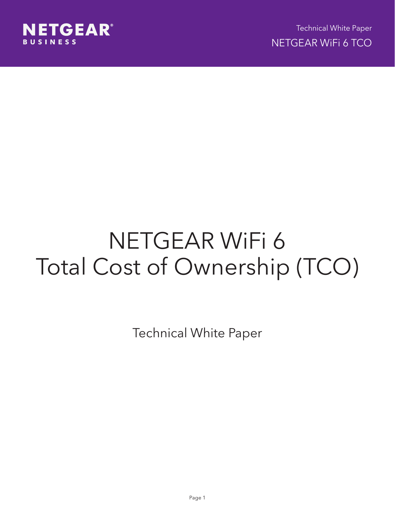

# NETGEAR WiFi 6 Total Cost of Ownership (TCO)

Technical White Paper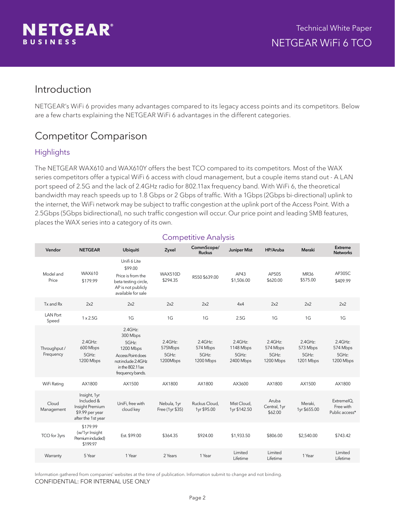

### Introduction

NETGEAR's WiFi 6 provides many advantages compared to its legacy access points and its competitors. Below are a few charts explaining the NETGEAR WiFi 6 advantages in the different categories.

# Competitor Comparison

### **Highlights**

The NETGEAR WAX610 and WAX610Y offers the best TCO compared to its competitors. Most of the WAX series competitors offer a typical WiFi 6 access with cloud management, but a couple items stand out - A LAN port speed of 2.5G and the lack of 2.4GHz radio for 802.11ax frequency band. With WiFi 6, the theoretical bandwidth may reach speeds up to 1.8 Gbps or 2 Gbps of traffic. With a 1Gbps (2Gbps bi-directional) uplink to the internet, the WiFi network may be subject to traffic congestion at the uplink port of the Access Point. With a 2.5Gbps (5Gbps bidirectional), no such traffic congestion will occur. Our price point and leading SMB features, places the WAX series into a category of its own.

| Vendor                    | <b>NETGEAR</b>                                                                         | <b>Ubiquiti</b>                                                                                                               | Zyxel                                      | CommScope/<br><b>Ruckus</b>                  | <b>Juniper Mist</b>                           | HP/Aruba                                     | Meraki                                    | Extreme<br><b>Networks</b>                   |
|---------------------------|----------------------------------------------------------------------------------------|-------------------------------------------------------------------------------------------------------------------------------|--------------------------------------------|----------------------------------------------|-----------------------------------------------|----------------------------------------------|-------------------------------------------|----------------------------------------------|
| Model and<br>Price        | WAX610<br>\$179.99                                                                     | Unifi 6 Lite<br>\$99.00<br>Price is from the<br>beta testing circle,<br>AP is not publicly<br>available for sale              | <b>WAX510D</b><br>\$294.35                 | R550 \$639.00                                | AP43<br>\$1,506.00                            | AP505<br>\$620.00                            | MR36<br>\$575.00                          | AP305C<br>\$409.99                           |
| Tx and Rx                 | 2x2                                                                                    | 2x2                                                                                                                           | 2x2                                        | 2x2                                          | 4x4                                           | 2x2                                          | 2x2                                       | 2x2                                          |
| <b>LAN Port</b><br>Speed  | $1 \times 2.5G$                                                                        | 1G                                                                                                                            | 1G                                         | 1G                                           | 2.5G                                          | 1G                                           | 1G                                        | 1G                                           |
| Throughput /<br>Frequency | $2.4$ GHz:<br>600 Mbps<br>5GHz:<br>1200 Mbps                                           | 2.4GHz:<br>300 Mbps<br>5GHz:<br>1200 Mbps<br>Access Point does<br>not include 2.4GHz<br>in the $802.11ax$<br>frequency bands. | $2.4$ GHz:<br>575Mbps<br>5GHz:<br>1200Mbps | $2.4$ GHz:<br>574 Mbps<br>5GHz:<br>1200 Mbps | $2.4$ GHz:<br>1148 Mbps<br>5GHz:<br>2400 Mbps | $2.4$ GHz:<br>574 Mbps<br>5GHz:<br>1200 Mbps | 2.4GHz:<br>573 Mbps<br>5GHz:<br>1201 Mbps | $2.4$ GHz:<br>574 Mbps<br>5GHz:<br>1200 Mbps |
| WiFi Rating               | AX1800                                                                                 | AX1500                                                                                                                        | AX1800                                     | AX1800                                       | AX3600                                        | AX1800                                       | AX1500                                    | AX1800                                       |
| Cloud<br>Management       | Insight, 1yr<br>Included &<br>Insight Premium<br>\$9.99 per year<br>after the 1st year | UniFi, free with<br>cloud key                                                                                                 | Nebula, 1yr<br>Free (1yr \$35)             | Ruckus Cloud,<br>1yr \$95.00                 | Mist Cloud,<br>1yr \$142.50                   | Aruba<br>Central, 1yr<br>\$62.00             | Meraki,<br>1yr \$655.00                   | ExtremelQ.<br>Free with<br>Public access*    |
| TCO for 3yrs              | \$179.99<br>(w/1yr Insight<br>Premium included)<br>\$199.97                            | Est. \$99.00                                                                                                                  | \$364.35                                   | \$924.00                                     | \$1,933.50                                    | \$806.00                                     | \$2,540.00                                | \$743.42                                     |
| Warranty                  | 5 Year                                                                                 | 1 Year                                                                                                                        | 2 Years                                    | 1 Year                                       | Limited<br>Lifetime                           | Limited<br>Lifetime                          | 1 Year                                    | Limited<br>Lifetime                          |

### Competitive Analysis

Information gathered from companies' websites at the time of publication. Information submit to change and not binding. CONFIDENTIAL: FOR INTERNAL USE ONLY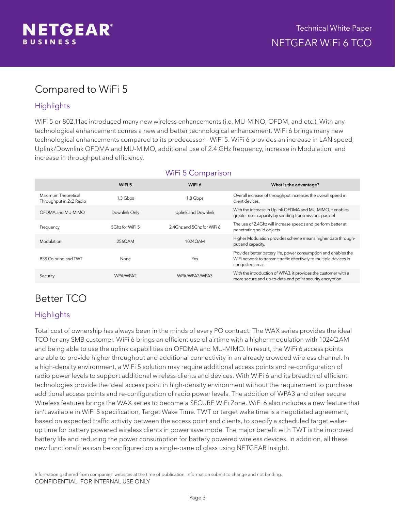

# Compared to WiFi 5

### **Highlights**

WiFi 5 or 802.11ac introduced many new wireless enhancements (i.e. MU-MINO, OFDM, and etc.). With any technological enhancement comes a new and better technological enhancement. WiFi 6 brings many new technological enhancements compared to its predecessor - WiFi 5. WiFi 6 provides an increase in LAN speed, Uplink/Downlink OFDMA and MU-MIMO, additional use of 2.4 GHz frequency, increase in Modulation, and increase in throughput and efficiency.

|                                                | WiFi 5          | WiFi 6                     | What is the advantage?                                                                                                                                     |
|------------------------------------------------|-----------------|----------------------------|------------------------------------------------------------------------------------------------------------------------------------------------------------|
| Maximum Theoretical<br>Throughput in 2x2 Radio | 1.3 Gbps        | 1.8 Gbps                   | Overall increase of throughput increases the overall speed in<br>client devices.                                                                           |
| OFDMA and MU-MIMO                              | Downlink Only   | <b>Uplink and Downlink</b> | With the increase in Uplink OFDMA and MU-MIMO, it enables<br>greater user capacity by sending transmissions parallel                                       |
| Frequency                                      | 5 5 5 5 5 5 5 5 | 2.4Ghz and 5Ghz for WiFi 6 | The use of 2.4Ghz will increase speeds and perform better at<br>penetrating solid objects                                                                  |
| Modulation                                     | 256OAM          | 1024OAM                    | Higher Modulation provides scheme means higher data through-<br>put and capacity.                                                                          |
| <b>BSS Coloring and TWT</b>                    | None            | Yes                        | Provides better battery life, power consumption and enables the<br>WiFi network to transmit traffic effectively to multiple devices in<br>congested areas. |
| Security                                       | WPA/WPA2        | WPA/WPA2/WPA3              | With the introduction of WPA3, it provides the customer with a<br>more secure and up-to-date end point security encryption.                                |

### WiFi 5 Comparison

# Better TCO

### **Highlights**

Total cost of ownership has always been in the minds of every PO contract. The WAX series provides the ideal TCO for any SMB customer. WiFi 6 brings an efficient use of airtime with a higher modulation with 1024QAM and being able to use the uplink capabilities on OFDMA and MU-MIMO. In result, the WiFi 6 access points are able to provide higher throughput and additional connectivity in an already crowded wireless channel. In a high-density environment, a WiFi 5 solution may require additional access points and re-configuration of radio power levels to support additional wireless clients and devices. With WiFi 6 and its breadth of efficient technologies provide the ideal access point in high-density environment without the requirement to purchase additional access points and re-configuration of radio power levels. The addition of WPA3 and other secure Wireless features brings the WAX series to become a SECURE WiFi Zone. WiFi 6 also includes a new feature that isn't available in WiFi 5 specification, Target Wake Time. TWT or target wake time is a negotiated agreement, based on expected traffic activity between the access point and clients, to specify a scheduled target wakeup time for battery powered wireless clients in power save mode. The major benefit with TWT is the improved battery life and reducing the power consumption for battery powered wireless devices. In addition, all these new functionalities can be configured on a single-pane of glass using NETGEAR Insight.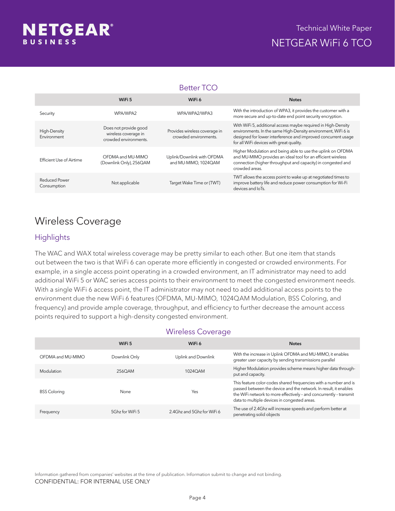

#### Better TCO

|                              | WiFi 5                                                                 | WiFi 6                                                 | <b>Notes</b>                                                                                                                                                                                                                                |
|------------------------------|------------------------------------------------------------------------|--------------------------------------------------------|---------------------------------------------------------------------------------------------------------------------------------------------------------------------------------------------------------------------------------------------|
| Security                     | WPA/WPA2                                                               | WPA/WPA2/WPA3                                          | With the introduction of WPA3, it provides the customer with a<br>more secure and up-to-date end point security encryption.                                                                                                                 |
| High-Density<br>Environment  | Does not provide good<br>wireless coverage in<br>crowded environments. | Provides wireless coverage in<br>crowded environments. | With WiFi 5, additional access maybe required in High-Density<br>environments. In the same High-Density environment, WiFi 6 is<br>designed for lower interference and improved concurrent usage<br>for all WiFi devices with great quality. |
| Efficient Use of Airtime     | OFDMA and MU-MIMO<br>(Downlink Only), 256QAM                           | Uplink/Downlink with OFDMA<br>and MU-MIMO, 1024QAM     | Higher Modulation and being able to use the uplink on OFDMA<br>and MU-MIMO provides an ideal tool for an efficient wireless<br>connection (higher throughput and capacity) in congested and<br>crowded areas.                               |
| Reduced Power<br>Consumption | Not applicable                                                         | Target Wake Time or (TWT)                              | TWT allows the access point to wake up at negotiated times to<br>improve battery life and reduce power consumption for Wi-Fi<br>devices and IoTs.                                                                                           |

### Wireless Coverage

#### **Highlights**

The WAC and WAX total wireless coverage may be pretty similar to each other. But one item that stands out between the two is that WiFi 6 can operate more efficiently in congested or crowded environments. For example, in a single access point operating in a crowded environment, an IT administrator may need to add additional WiFi 5 or WAC series access points to their environment to meet the congested environment needs. With a single WiFi 6 access point, the IT administrator may not need to add additional access points to the environment due the new WiFi 6 features (OFDMA, MU-MIMO, 1024QAM Modulation, BSS Coloring, and frequency) and provide ample coverage, throughput, and efficiency to further decrease the amount access points required to support a high-density congested environment.

#### Wireless Coverage

|                     | WiFi 5          | WiFi 6                     | <b>Notes</b>                                                                                                                                                                                                                                               |
|---------------------|-----------------|----------------------------|------------------------------------------------------------------------------------------------------------------------------------------------------------------------------------------------------------------------------------------------------------|
| OFDMA and MU-MIMO   | Downlink Only   | Uplink and Downlink        | With the increase in Uplink OFDMA and MU-MIMO, it enables<br>greater user capacity by sending transmissions parallel                                                                                                                                       |
| Modulation          | 256OAM          | 1024OAM                    | Higher Modulation provides scheme means higher data through-<br>put and capacity.                                                                                                                                                                          |
| <b>BSS Coloring</b> | None            | Yes                        | This feature color-codes shared frequencies with a number and is<br>passed between the device and the network. In result, it enables<br>the WiFi network to more effectively - and concurrently - transmit<br>data to multiple devices in congested areas. |
| Frequency           | 5Ghz for WiFi 5 | 2.4Ghz and 5Ghz for WiFi 6 | The use of 2.4Ghz will increase speeds and perform better at<br>penetrating solid objects                                                                                                                                                                  |